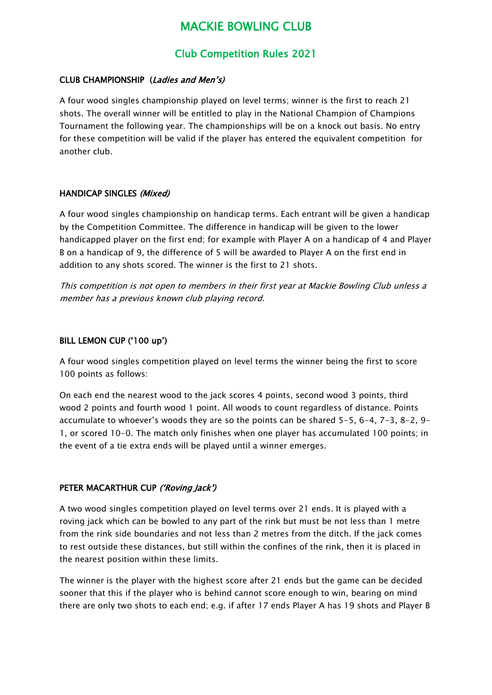# MACKIE BOWLING CLUB

# Club Competition Rules 2021

# CLUB CHAMPIONSHIP (Ladies and Men's)

A four wood singles championship played on level terms; winner is the first to reach 21 shots. The overall winner will be entitled to play in the National Champion of Champions Tournament the following year. The championships will be on a knock out basis. No entry for these competition will be valid if the player has entered the equivalent competition for another club.

#### HANDICAP SINGLES (Mixed)

A four wood singles championship on handicap terms. Each entrant will be given a handicap by the Competition Committee. The difference in handicap will be given to the lower handicapped player on the first end; for example with Player A on a handicap of 4 and Player B on a handicap of 9, the difference of 5 will be awarded to Player A on the first end in addition to any shots scored. The winner is the first to 21 shots.

This competition is not open to members in their first year at Mackie Bowling Club unless a member has a previous known club playing record.

### BILL LEMON CUP ('100 up')

A four wood singles competition played on level terms the winner being the first to score 100 points as follows:

On each end the nearest wood to the jack scores 4 points, second wood 3 points, third wood 2 points and fourth wood 1 point. All woods to count regardless of distance. Points accumulate to whoever's woods they are so the points can be shared 5-5, 6-4, 7-3, 8-2, 9- 1, or scored 10-0. The match only finishes when one player has accumulated 100 points; in the event of a tie extra ends will be played until a winner emerges.

# PETER MACARTHUR CUP ('Roving Jack')

A two wood singles competition played on level terms over 21 ends. It is played with a roving jack which can be bowled to any part of the rink but must be not less than 1 metre from the rink side boundaries and not less than 2 metres from the ditch. If the jack comes to rest outside these distances, but still within the confines of the rink, then it is placed in the nearest position within these limits.

The winner is the player with the highest score after 21 ends but the game can be decided sooner that this if the player who is behind cannot score enough to win, bearing on mind there are only two shots to each end; e.g. if after 17 ends Player A has 19 shots and Player B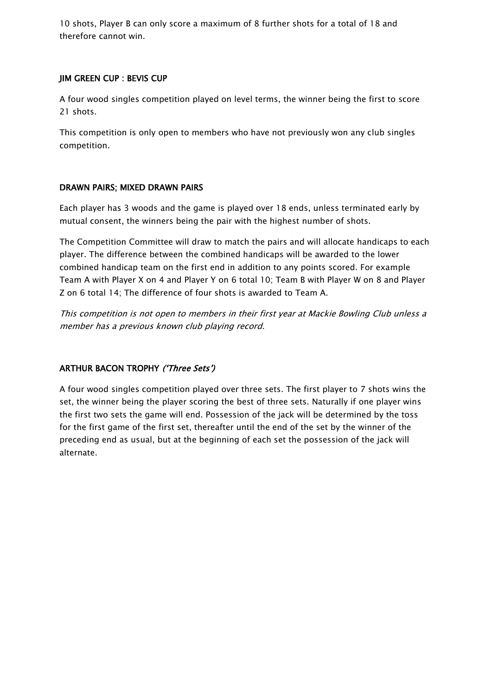10 shots, Player B can only score a maximum of 8 further shots for a total of 18 and therefore cannot win.

### JIM GREEN CUP : BEVIS CUP

A four wood singles competition played on level terms, the winner being the first to score 21 shots.

This competition is only open to members who have not previously won any club singles competition.

### DRAWN PAIRS; MIXED DRAWN PAIRS

Each player has 3 woods and the game is played over 18 ends, unless terminated early by mutual consent, the winners being the pair with the highest number of shots.

The Competition Committee will draw to match the pairs and will allocate handicaps to each player. The difference between the combined handicaps will be awarded to the lower combined handicap team on the first end in addition to any points scored. For example Team A with Player X on 4 and Player Y on 6 total 10; Team B with Player W on 8 and Player Z on 6 total 14; The difference of four shots is awarded to Team A.

This competition is not open to members in their first year at Mackie Bowling Club unless <sup>a</sup> member has a previous known club playing record.

# ARTHUR BACON TROPHY ('Three Sets')

A four wood singles competition played over three sets. The first player to 7 shots wins the set, the winner being the player scoring the best of three sets. Naturally if one player wins the first two sets the game will end. Possession of the jack will be determined by the toss for the first game of the first set, thereafter until the end of the set by the winner of the preceding end as usual, but at the beginning of each set the possession of the jack will alternate.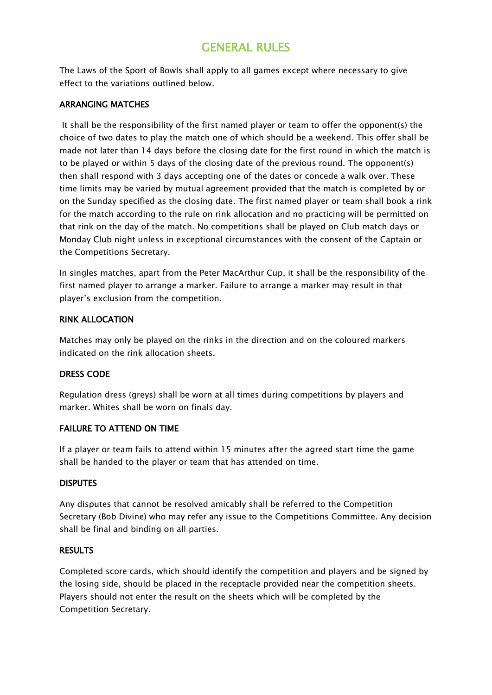# GENERAL RULES

The Laws of the Sport of Bowls shall apply to all games except where necessary to give effect to the variations outlined below.

# ARRANGING MATCHES

It shall be the responsibility of the first named player or team to offer the opponent(s) the choice of two dates to play the match one of which should be a weekend. This offer shall be made not later than 14 days before the closing date for the first round in which the match is to be played or within 5 days of the closing date of the previous round. The opponent(s) then shall respond with 3 days accepting one of the dates or concede a walk over. These time limits may be varied by mutual agreement provided that the match is completed by or on the Sunday specified as the closing date. The first named player or team shall book a rink for the match according to the rule on rink allocation and no practicing will be permitted on that rink on the day of the match. No competitions shall be played on Club match days or Monday Club night unless in exceptional circumstances with the consent of the Captain or the Competitions Secretary.

In singles matches, apart from the Peter MacArthur Cup, it shall be the responsibility of the first named player to arrange a marker. Failure to arrange a marker may result in that player's exclusion from the competition.

# RINK ALLOCATION

Matches may only be played on the rinks in the direction and on the coloured markers indicated on the rink allocation sheets.

# DRESS CODE

Regulation dress (greys) shall be worn at all times during competitions by players and marker. Whites shall be worn on finals day.

# FAILURE TO ATTEND ON TIME

If a player or team fails to attend within 15 minutes after the agreed start time the game shall be handed to the player or team that has attended on time.

# **DISPUTES**

Any disputes that cannot be resolved amicably shall be referred to the Competition Secretary (Bob Divine) who may refer any issue to the Competitions Committee. Any decision shall be final and binding on all parties.

# **RESULTS**

Completed score cards, which should identify the competition and players and be signed by the losing side, should be placed in the receptacle provided near the competition sheets. Players should not enter the result on the sheets which will be completed by the Competition Secretary.